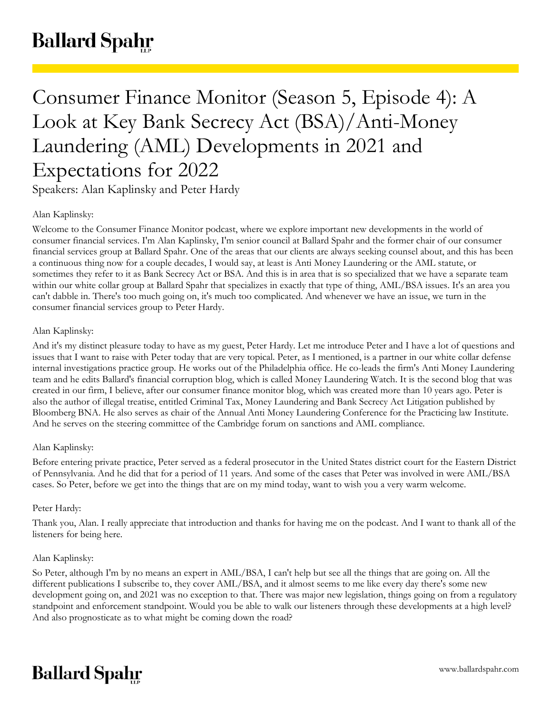# Consumer Finance Monitor (Season 5, Episode 4): A Look at Key Bank Secrecy Act (BSA)/Anti-Money Laundering (AML) Developments in 2021 and Expectations for 2022

Speakers: Alan Kaplinsky and Peter Hardy

# Alan Kaplinsky:

Welcome to the Consumer Finance Monitor podcast, where we explore important new developments in the world of consumer financial services. I'm Alan Kaplinsky, I'm senior council at Ballard Spahr and the former chair of our consumer financial services group at Ballard Spahr. One of the areas that our clients are always seeking counsel about, and this has been a continuous thing now for a couple decades, I would say, at least is Anti Money Laundering or the AML statute, or sometimes they refer to it as Bank Secrecy Act or BSA. And this is in area that is so specialized that we have a separate team within our white collar group at Ballard Spahr that specializes in exactly that type of thing, AML/BSA issues. It's an area you can't dabble in. There's too much going on, it's much too complicated. And whenever we have an issue, we turn in the consumer financial services group to Peter Hardy.

## Alan Kaplinsky:

And it's my distinct pleasure today to have as my guest, Peter Hardy. Let me introduce Peter and I have a lot of questions and issues that I want to raise with Peter today that are very topical. Peter, as I mentioned, is a partner in our white collar defense internal investigations practice group. He works out of the Philadelphia office. He co-leads the firm's Anti Money Laundering team and he edits Ballard's financial corruption blog, which is called Money Laundering Watch. It is the second blog that was created in our firm, I believe, after our consumer finance monitor blog, which was created more than 10 years ago. Peter is also the author of illegal treatise, entitled Criminal Tax, Money Laundering and Bank Secrecy Act Litigation published by Bloomberg BNA. He also serves as chair of the Annual Anti Money Laundering Conference for the Practicing law Institute. And he serves on the steering committee of the Cambridge forum on sanctions and AML compliance.

## Alan Kaplinsky:

Before entering private practice, Peter served as a federal prosecutor in the United States district court for the Eastern District of Pennsylvania. And he did that for a period of 11 years. And some of the cases that Peter was involved in were AML/BSA cases. So Peter, before we get into the things that are on my mind today, want to wish you a very warm welcome.

## Peter Hardy:

Thank you, Alan. I really appreciate that introduction and thanks for having me on the podcast. And I want to thank all of the listeners for being here.

## Alan Kaplinsky:

So Peter, although I'm by no means an expert in AML/BSA, I can't help but see all the things that are going on. All the different publications I subscribe to, they cover AML/BSA, and it almost seems to me like every day there's some new development going on, and 2021 was no exception to that. There was major new legislation, things going on from a regulatory standpoint and enforcement standpoint. Would you be able to walk our listeners through these developments at a high level? And also prognosticate as to what might be coming down the road?

# **Ballard Spahr**

www.ballardspahr.com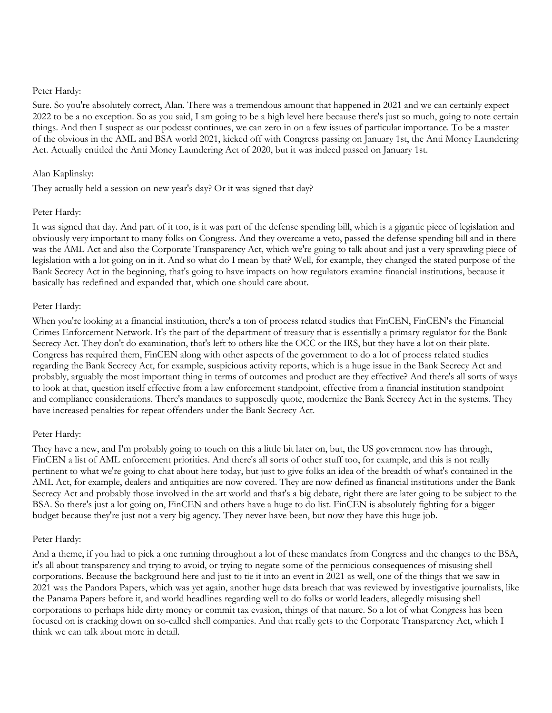Sure. So you're absolutely correct, Alan. There was a tremendous amount that happened in 2021 and we can certainly expect 2022 to be a no exception. So as you said, I am going to be a high level here because there's just so much, going to note certain things. And then I suspect as our podcast continues, we can zero in on a few issues of particular importance. To be a master of the obvious in the AML and BSA world 2021, kicked off with Congress passing on January 1st, the Anti Money Laundering Act. Actually entitled the Anti Money Laundering Act of 2020, but it was indeed passed on January 1st.

## Alan Kaplinsky:

They actually held a session on new year's day? Or it was signed that day?

## Peter Hardy:

It was signed that day. And part of it too, is it was part of the defense spending bill, which is a gigantic piece of legislation and obviously very important to many folks on Congress. And they overcame a veto, passed the defense spending bill and in there was the AML Act and also the Corporate Transparency Act, which we're going to talk about and just a very sprawling piece of legislation with a lot going on in it. And so what do I mean by that? Well, for example, they changed the stated purpose of the Bank Secrecy Act in the beginning, that's going to have impacts on how regulators examine financial institutions, because it basically has redefined and expanded that, which one should care about.

## Peter Hardy:

When you're looking at a financial institution, there's a ton of process related studies that FinCEN, FinCEN's the Financial Crimes Enforcement Network. It's the part of the department of treasury that is essentially a primary regulator for the Bank Secrecy Act. They don't do examination, that's left to others like the OCC or the IRS, but they have a lot on their plate. Congress has required them, FinCEN along with other aspects of the government to do a lot of process related studies regarding the Bank Secrecy Act, for example, suspicious activity reports, which is a huge issue in the Bank Secrecy Act and probably, arguably the most important thing in terms of outcomes and product are they effective? And there's all sorts of ways to look at that, question itself effective from a law enforcement standpoint, effective from a financial institution standpoint and compliance considerations. There's mandates to supposedly quote, modernize the Bank Secrecy Act in the systems. They have increased penalties for repeat offenders under the Bank Secrecy Act.

## Peter Hardy:

They have a new, and I'm probably going to touch on this a little bit later on, but, the US government now has through, FinCEN a list of AML enforcement priorities. And there's all sorts of other stuff too, for example, and this is not really pertinent to what we're going to chat about here today, but just to give folks an idea of the breadth of what's contained in the AML Act, for example, dealers and antiquities are now covered. They are now defined as financial institutions under the Bank Secrecy Act and probably those involved in the art world and that's a big debate, right there are later going to be subject to the BSA. So there's just a lot going on, FinCEN and others have a huge to do list. FinCEN is absolutely fighting for a bigger budget because they're just not a very big agency. They never have been, but now they have this huge job.

#### Peter Hardy:

And a theme, if you had to pick a one running throughout a lot of these mandates from Congress and the changes to the BSA, it's all about transparency and trying to avoid, or trying to negate some of the pernicious consequences of misusing shell corporations. Because the background here and just to tie it into an event in 2021 as well, one of the things that we saw in 2021 was the Pandora Papers, which was yet again, another huge data breach that was reviewed by investigative journalists, like the Panama Papers before it, and world headlines regarding well to do folks or world leaders, allegedly misusing shell corporations to perhaps hide dirty money or commit tax evasion, things of that nature. So a lot of what Congress has been focused on is cracking down on so-called shell companies. And that really gets to the Corporate Transparency Act, which I think we can talk about more in detail.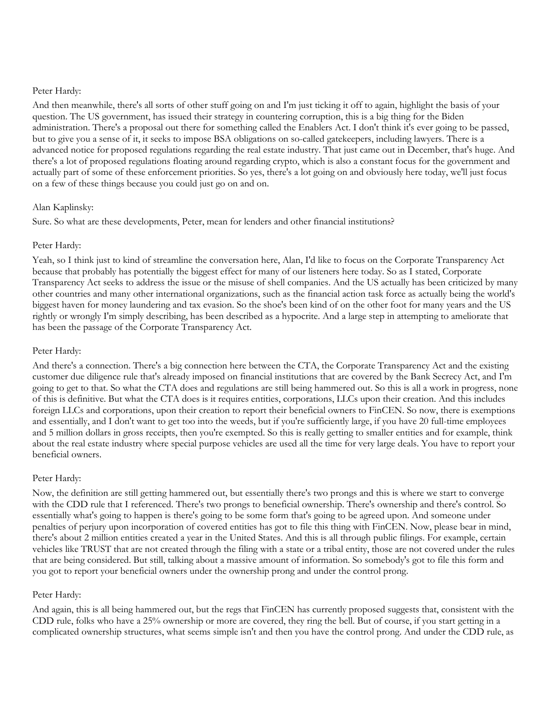And then meanwhile, there's all sorts of other stuff going on and I'm just ticking it off to again, highlight the basis of your question. The US government, has issued their strategy in countering corruption, this is a big thing for the Biden administration. There's a proposal out there for something called the Enablers Act. I don't think it's ever going to be passed, but to give you a sense of it, it seeks to impose BSA obligations on so-called gatekeepers, including lawyers. There is a advanced notice for proposed regulations regarding the real estate industry. That just came out in December, that's huge. And there's a lot of proposed regulations floating around regarding crypto, which is also a constant focus for the government and actually part of some of these enforcement priorities. So yes, there's a lot going on and obviously here today, we'll just focus on a few of these things because you could just go on and on.

## Alan Kaplinsky:

Sure. So what are these developments, Peter, mean for lenders and other financial institutions?

## Peter Hardy:

Yeah, so I think just to kind of streamline the conversation here, Alan, I'd like to focus on the Corporate Transparency Act because that probably has potentially the biggest effect for many of our listeners here today. So as I stated, Corporate Transparency Act seeks to address the issue or the misuse of shell companies. And the US actually has been criticized by many other countries and many other international organizations, such as the financial action task force as actually being the world's biggest haven for money laundering and tax evasion. So the shoe's been kind of on the other foot for many years and the US rightly or wrongly I'm simply describing, has been described as a hypocrite. And a large step in attempting to ameliorate that has been the passage of the Corporate Transparency Act.

## Peter Hardy:

And there's a connection. There's a big connection here between the CTA, the Corporate Transparency Act and the existing customer due diligence rule that's already imposed on financial institutions that are covered by the Bank Secrecy Act, and I'm going to get to that. So what the CTA does and regulations are still being hammered out. So this is all a work in progress, none of this is definitive. But what the CTA does is it requires entities, corporations, LLCs upon their creation. And this includes foreign LLCs and corporations, upon their creation to report their beneficial owners to FinCEN. So now, there is exemptions and essentially, and I don't want to get too into the weeds, but if you're sufficiently large, if you have 20 full-time employees and 5 million dollars in gross receipts, then you're exempted. So this is really getting to smaller entities and for example, think about the real estate industry where special purpose vehicles are used all the time for very large deals. You have to report your beneficial owners.

## Peter Hardy:

Now, the definition are still getting hammered out, but essentially there's two prongs and this is where we start to converge with the CDD rule that I referenced. There's two prongs to beneficial ownership. There's ownership and there's control. So essentially what's going to happen is there's going to be some form that's going to be agreed upon. And someone under penalties of perjury upon incorporation of covered entities has got to file this thing with FinCEN. Now, please bear in mind, there's about 2 million entities created a year in the United States. And this is all through public filings. For example, certain vehicles like TRUST that are not created through the filing with a state or a tribal entity, those are not covered under the rules that are being considered. But still, talking about a massive amount of information. So somebody's got to file this form and you got to report your beneficial owners under the ownership prong and under the control prong.

#### Peter Hardy:

And again, this is all being hammered out, but the regs that FinCEN has currently proposed suggests that, consistent with the CDD rule, folks who have a 25% ownership or more are covered, they ring the bell. But of course, if you start getting in a complicated ownership structures, what seems simple isn't and then you have the control prong. And under the CDD rule, as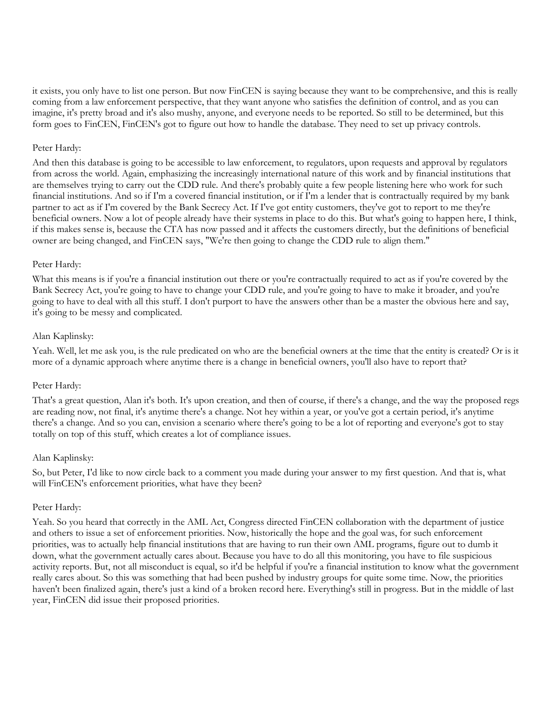it exists, you only have to list one person. But now FinCEN is saying because they want to be comprehensive, and this is really coming from a law enforcement perspective, that they want anyone who satisfies the definition of control, and as you can imagine, it's pretty broad and it's also mushy, anyone, and everyone needs to be reported. So still to be determined, but this form goes to FinCEN, FinCEN's got to figure out how to handle the database. They need to set up privacy controls.

#### Peter Hardy:

And then this database is going to be accessible to law enforcement, to regulators, upon requests and approval by regulators from across the world. Again, emphasizing the increasingly international nature of this work and by financial institutions that are themselves trying to carry out the CDD rule. And there's probably quite a few people listening here who work for such financial institutions. And so if I'm a covered financial institution, or if I'm a lender that is contractually required by my bank partner to act as if I'm covered by the Bank Secrecy Act. If I've got entity customers, they've got to report to me they're beneficial owners. Now a lot of people already have their systems in place to do this. But what's going to happen here, I think, if this makes sense is, because the CTA has now passed and it affects the customers directly, but the definitions of beneficial owner are being changed, and FinCEN says, "We're then going to change the CDD rule to align them."

## Peter Hardy:

What this means is if you're a financial institution out there or you're contractually required to act as if you're covered by the Bank Secrecy Act, you're going to have to change your CDD rule, and you're going to have to make it broader, and you're going to have to deal with all this stuff. I don't purport to have the answers other than be a master the obvious here and say, it's going to be messy and complicated.

## Alan Kaplinsky:

Yeah. Well, let me ask you, is the rule predicated on who are the beneficial owners at the time that the entity is created? Or is it more of a dynamic approach where anytime there is a change in beneficial owners, you'll also have to report that?

#### Peter Hardy:

That's a great question, Alan it's both. It's upon creation, and then of course, if there's a change, and the way the proposed regs are reading now, not final, it's anytime there's a change. Not hey within a year, or you've got a certain period, it's anytime there's a change. And so you can, envision a scenario where there's going to be a lot of reporting and everyone's got to stay totally on top of this stuff, which creates a lot of compliance issues.

#### Alan Kaplinsky:

So, but Peter, I'd like to now circle back to a comment you made during your answer to my first question. And that is, what will FinCEN's enforcement priorities, what have they been?

#### Peter Hardy:

Yeah. So you heard that correctly in the AML Act, Congress directed FinCEN collaboration with the department of justice and others to issue a set of enforcement priorities. Now, historically the hope and the goal was, for such enforcement priorities, was to actually help financial institutions that are having to run their own AML programs, figure out to dumb it down, what the government actually cares about. Because you have to do all this monitoring, you have to file suspicious activity reports. But, not all misconduct is equal, so it'd be helpful if you're a financial institution to know what the government really cares about. So this was something that had been pushed by industry groups for quite some time. Now, the priorities haven't been finalized again, there's just a kind of a broken record here. Everything's still in progress. But in the middle of last year, FinCEN did issue their proposed priorities.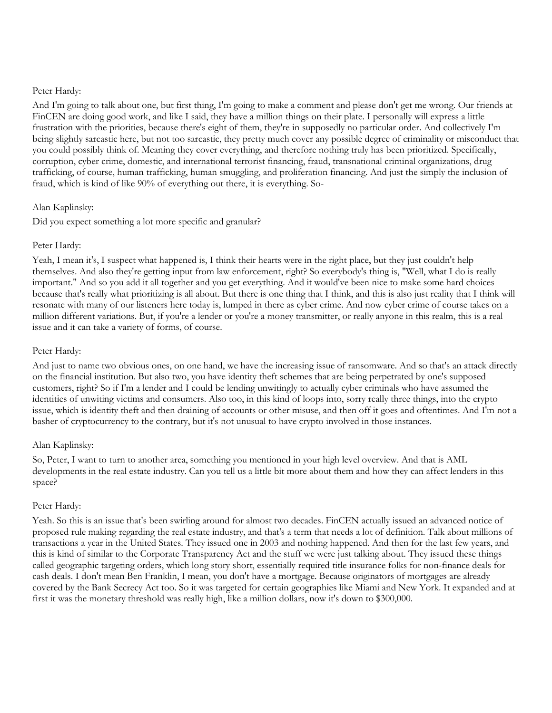And I'm going to talk about one, but first thing, I'm going to make a comment and please don't get me wrong. Our friends at FinCEN are doing good work, and like I said, they have a million things on their plate. I personally will express a little frustration with the priorities, because there's eight of them, they're in supposedly no particular order. And collectively I'm being slightly sarcastic here, but not too sarcastic, they pretty much cover any possible degree of criminality or misconduct that you could possibly think of. Meaning they cover everything, and therefore nothing truly has been prioritized. Specifically, corruption, cyber crime, domestic, and international terrorist financing, fraud, transnational criminal organizations, drug trafficking, of course, human trafficking, human smuggling, and proliferation financing. And just the simply the inclusion of fraud, which is kind of like 90% of everything out there, it is everything. So-

## Alan Kaplinsky:

Did you expect something a lot more specific and granular?

## Peter Hardy:

Yeah, I mean it's, I suspect what happened is, I think their hearts were in the right place, but they just couldn't help themselves. And also they're getting input from law enforcement, right? So everybody's thing is, "Well, what I do is really important." And so you add it all together and you get everything. And it would've been nice to make some hard choices because that's really what prioritizing is all about. But there is one thing that I think, and this is also just reality that I think will resonate with many of our listeners here today is, lumped in there as cyber crime. And now cyber crime of course takes on a million different variations. But, if you're a lender or you're a money transmitter, or really anyone in this realm, this is a real issue and it can take a variety of forms, of course.

## Peter Hardy:

And just to name two obvious ones, on one hand, we have the increasing issue of ransomware. And so that's an attack directly on the financial institution. But also two, you have identity theft schemes that are being perpetrated by one's supposed customers, right? So if I'm a lender and I could be lending unwitingly to actually cyber criminals who have assumed the identities of unwiting victims and consumers. Also too, in this kind of loops into, sorry really three things, into the crypto issue, which is identity theft and then draining of accounts or other misuse, and then off it goes and oftentimes. And I'm not a basher of cryptocurrency to the contrary, but it's not unusual to have crypto involved in those instances.

#### Alan Kaplinsky:

So, Peter, I want to turn to another area, something you mentioned in your high level overview. And that is AML developments in the real estate industry. Can you tell us a little bit more about them and how they can affect lenders in this space?

#### Peter Hardy:

Yeah. So this is an issue that's been swirling around for almost two decades. FinCEN actually issued an advanced notice of proposed rule making regarding the real estate industry, and that's a term that needs a lot of definition. Talk about millions of transactions a year in the United States. They issued one in 2003 and nothing happened. And then for the last few years, and this is kind of similar to the Corporate Transparency Act and the stuff we were just talking about. They issued these things called geographic targeting orders, which long story short, essentially required title insurance folks for non-finance deals for cash deals. I don't mean Ben Franklin, I mean, you don't have a mortgage. Because originators of mortgages are already covered by the Bank Secrecy Act too. So it was targeted for certain geographies like Miami and New York. It expanded and at first it was the monetary threshold was really high, like a million dollars, now it's down to \$300,000.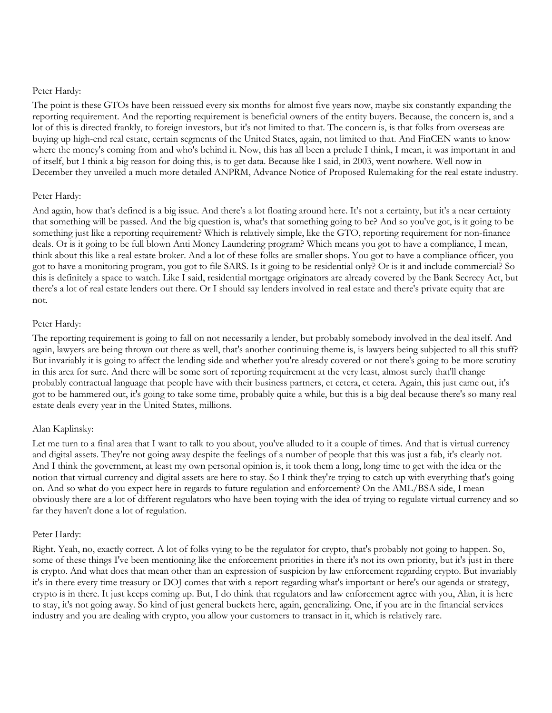The point is these GTOs have been reissued every six months for almost five years now, maybe six constantly expanding the reporting requirement. And the reporting requirement is beneficial owners of the entity buyers. Because, the concern is, and a lot of this is directed frankly, to foreign investors, but it's not limited to that. The concern is, is that folks from overseas are buying up high-end real estate, certain segments of the United States, again, not limited to that. And FinCEN wants to know where the money's coming from and who's behind it. Now, this has all been a prelude I think, I mean, it was important in and of itself, but I think a big reason for doing this, is to get data. Because like I said, in 2003, went nowhere. Well now in December they unveiled a much more detailed ANPRM, Advance Notice of Proposed Rulemaking for the real estate industry.

## Peter Hardy:

And again, how that's defined is a big issue. And there's a lot floating around here. It's not a certainty, but it's a near certainty that something will be passed. And the big question is, what's that something going to be? And so you've got, is it going to be something just like a reporting requirement? Which is relatively simple, like the GTO, reporting requirement for non-finance deals. Or is it going to be full blown Anti Money Laundering program? Which means you got to have a compliance, I mean, think about this like a real estate broker. And a lot of these folks are smaller shops. You got to have a compliance officer, you got to have a monitoring program, you got to file SARS. Is it going to be residential only? Or is it and include commercial? So this is definitely a space to watch. Like I said, residential mortgage originators are already covered by the Bank Secrecy Act, but there's a lot of real estate lenders out there. Or I should say lenders involved in real estate and there's private equity that are not.

## Peter Hardy:

The reporting requirement is going to fall on not necessarily a lender, but probably somebody involved in the deal itself. And again, lawyers are being thrown out there as well, that's another continuing theme is, is lawyers being subjected to all this stuff? But invariably it is going to affect the lending side and whether you're already covered or not there's going to be more scrutiny in this area for sure. And there will be some sort of reporting requirement at the very least, almost surely that'll change probably contractual language that people have with their business partners, et cetera, et cetera. Again, this just came out, it's got to be hammered out, it's going to take some time, probably quite a while, but this is a big deal because there's so many real estate deals every year in the United States, millions.

## Alan Kaplinsky:

Let me turn to a final area that I want to talk to you about, you've alluded to it a couple of times. And that is virtual currency and digital assets. They're not going away despite the feelings of a number of people that this was just a fab, it's clearly not. And I think the government, at least my own personal opinion is, it took them a long, long time to get with the idea or the notion that virtual currency and digital assets are here to stay. So I think they're trying to catch up with everything that's going on. And so what do you expect here in regards to future regulation and enforcement? On the AML/BSA side, I mean obviously there are a lot of different regulators who have been toying with the idea of trying to regulate virtual currency and so far they haven't done a lot of regulation.

#### Peter Hardy:

Right. Yeah, no, exactly correct. A lot of folks vying to be the regulator for crypto, that's probably not going to happen. So, some of these things I've been mentioning like the enforcement priorities in there it's not its own priority, but it's just in there is crypto. And what does that mean other than an expression of suspicion by law enforcement regarding crypto. But invariably it's in there every time treasury or DOJ comes that with a report regarding what's important or here's our agenda or strategy, crypto is in there. It just keeps coming up. But, I do think that regulators and law enforcement agree with you, Alan, it is here to stay, it's not going away. So kind of just general buckets here, again, generalizing. One, if you are in the financial services industry and you are dealing with crypto, you allow your customers to transact in it, which is relatively rare.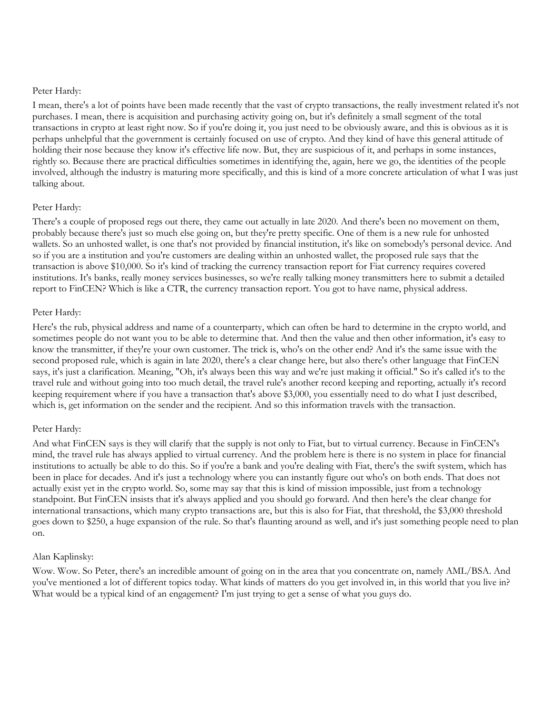I mean, there's a lot of points have been made recently that the vast of crypto transactions, the really investment related it's not purchases. I mean, there is acquisition and purchasing activity going on, but it's definitely a small segment of the total transactions in crypto at least right now. So if you're doing it, you just need to be obviously aware, and this is obvious as it is perhaps unhelpful that the government is certainly focused on use of crypto. And they kind of have this general attitude of holding their nose because they know it's effective life now. But, they are suspicious of it, and perhaps in some instances, rightly so. Because there are practical difficulties sometimes in identifying the, again, here we go, the identities of the people involved, although the industry is maturing more specifically, and this is kind of a more concrete articulation of what I was just talking about.

## Peter Hardy:

There's a couple of proposed regs out there, they came out actually in late 2020. And there's been no movement on them, probably because there's just so much else going on, but they're pretty specific. One of them is a new rule for unhosted wallets. So an unhosted wallet, is one that's not provided by financial institution, it's like on somebody's personal device. And so if you are a institution and you're customers are dealing within an unhosted wallet, the proposed rule says that the transaction is above \$10,000. So it's kind of tracking the currency transaction report for Fiat currency requires covered institutions. It's banks, really money services businesses, so we're really talking money transmitters here to submit a detailed report to FinCEN? Which is like a CTR, the currency transaction report. You got to have name, physical address.

## Peter Hardy:

Here's the rub, physical address and name of a counterparty, which can often be hard to determine in the crypto world, and sometimes people do not want you to be able to determine that. And then the value and then other information, it's easy to know the transmitter, if they're your own customer. The trick is, who's on the other end? And it's the same issue with the second proposed rule, which is again in late 2020, there's a clear change here, but also there's other language that FinCEN says, it's just a clarification. Meaning, "Oh, it's always been this way and we're just making it official." So it's called it's to the travel rule and without going into too much detail, the travel rule's another record keeping and reporting, actually it's record keeping requirement where if you have a transaction that's above \$3,000, you essentially need to do what I just described, which is, get information on the sender and the recipient. And so this information travels with the transaction.

## Peter Hardy:

And what FinCEN says is they will clarify that the supply is not only to Fiat, but to virtual currency. Because in FinCEN's mind, the travel rule has always applied to virtual currency. And the problem here is there is no system in place for financial institutions to actually be able to do this. So if you're a bank and you're dealing with Fiat, there's the swift system, which has been in place for decades. And it's just a technology where you can instantly figure out who's on both ends. That does not actually exist yet in the crypto world. So, some may say that this is kind of mission impossible, just from a technology standpoint. But FinCEN insists that it's always applied and you should go forward. And then here's the clear change for international transactions, which many crypto transactions are, but this is also for Fiat, that threshold, the \$3,000 threshold goes down to \$250, a huge expansion of the rule. So that's flaunting around as well, and it's just something people need to plan on.

## Alan Kaplinsky:

Wow. Wow. So Peter, there's an incredible amount of going on in the area that you concentrate on, namely AML/BSA. And you've mentioned a lot of different topics today. What kinds of matters do you get involved in, in this world that you live in? What would be a typical kind of an engagement? I'm just trying to get a sense of what you guys do.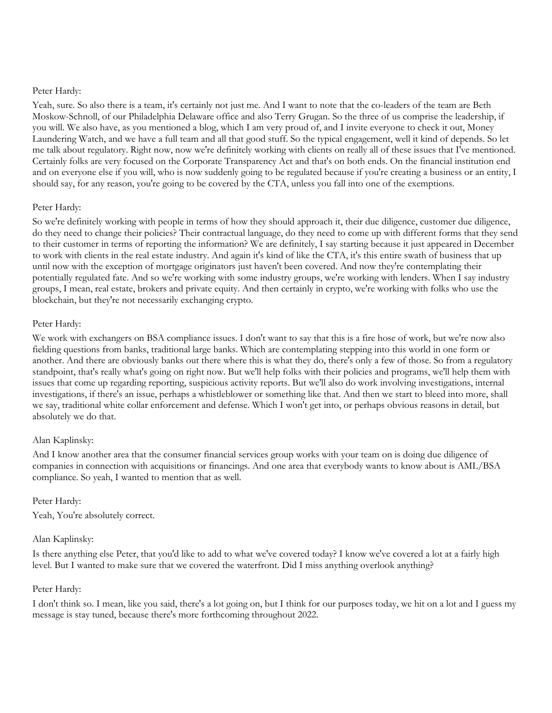Yeah, sure. So also there is a team, it's certainly not just me. And I want to note that the co-leaders of the team are Beth Moskow-Schnoll, of our Philadelphia Delaware office and also Terry Grugan. So the three of us comprise the leadership, if you will. We also have, as you mentioned a blog, which I am very proud of, and I invite everyone to check it out, Money Laundering Watch, and we have a full team and all that good stuff. So the typical engagement, well it kind of depends. So let me talk about regulatory. Right now, now we're definitely working with clients on really all of these issues that I've mentioned. Certainly folks are very focused on the Corporate Transparency Act and that's on both ends. On the financial institution end and on everyone else if you will, who is now suddenly going to be regulated because if you're creating a business or an entity, I should say, for any reason, you're going to be covered by the CTA, unless you fall into one of the exemptions.

## Peter Hardy:

So we're definitely working with people in terms of how they should approach it, their due diligence, customer due diligence, do they need to change their policies? Their contractual language, do they need to come up with different forms that they send to their customer in terms of reporting the information? We are definitely, I say starting because it just appeared in December to work with clients in the real estate industry. And again it's kind of like the CTA, it's this entire swath of business that up until now with the exception of mortgage originators just haven't been covered. And now they're contemplating their potentially regulated fate. And so we're working with some industry groups, we're working with lenders. When I say industry groups, I mean, real estate, brokers and private equity. And then certainly in crypto, we're working with folks who use the blockchain, but they're not necessarily exchanging crypto.

## Peter Hardy:

We work with exchangers on BSA compliance issues. I don't want to say that this is a fire hose of work, but we're now also fielding questions from banks, traditional large banks. Which are contemplating stepping into this world in one form or another. And there are obviously banks out there where this is what they do, there's only a few of those. So from a regulatory standpoint, that's really what's going on right now. But we'll help folks with their policies and programs, we'll help them with issues that come up regarding reporting, suspicious activity reports. But we'll also do work involving investigations, internal investigations, if there's an issue, perhaps a whistleblower or something like that. And then we start to bleed into more, shall we say, traditional white collar enforcement and defense. Which I won't get into, or perhaps obvious reasons in detail, but absolutely we do that.

#### Alan Kaplinsky:

And I know another area that the consumer financial services group works with your team on is doing due diligence of companies in connection with acquisitions or financings. And one area that everybody wants to know about is AML/BSA compliance. So yeah, I wanted to mention that as well.

#### Peter Hardy:

Yeah, You're absolutely correct.

## Alan Kaplinsky:

Is there anything else Peter, that you'd like to add to what we've covered today? I know we've covered a lot at a fairly high level. But I wanted to make sure that we covered the waterfront. Did I miss anything overlook anything?

## Peter Hardy:

I don't think so. I mean, like you said, there's a lot going on, but I think for our purposes today, we hit on a lot and I guess my message is stay tuned, because there's more forthcoming throughout 2022.